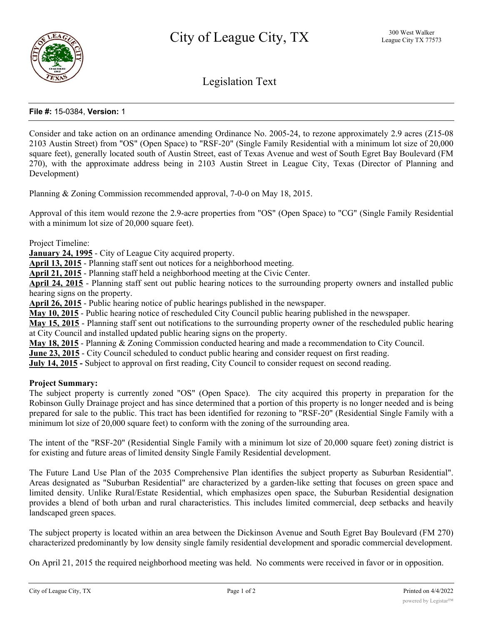

Legislation Text

## **File #:** 15-0384, **Version:** 1

Consider and take action on an ordinance amending Ordinance No. 2005-24, to rezone approximately 2.9 acres (Z15-08 2103 Austin Street) from "OS" (Open Space) to "RSF-20" (Single Family Residential with a minimum lot size of 20,000 square feet), generally located south of Austin Street, east of Texas Avenue and west of South Egret Bay Boulevard (FM 270), with the approximate address being in 2103 Austin Street in League City, Texas (Director of Planning and Development)

Planning & Zoning Commission recommended approval, 7-0-0 on May 18, 2015.

Approval of this item would rezone the 2.9-acre properties from "OS" (Open Space) to "CG" (Single Family Residential with a minimum lot size of 20,000 square feet).

Project Timeline:

**January 24, 1995** - City of League City acquired property.

**April 13, 2015** - Planning staff sent out notices for a neighborhood meeting.

**April 21, 2015** - Planning staff held a neighborhood meeting at the Civic Center.

**April 24, 2015** - Planning staff sent out public hearing notices to the surrounding property owners and installed public hearing signs on the property.

**April 26, 2015** - Public hearing notice of public hearings published in the newspaper.

**May 10, 2015** - Public hearing notice of rescheduled City Council public hearing published in the newspaper.

**May 15, 2015** - Planning staff sent out notifications to the surrounding property owner of the rescheduled public hearing at City Council and installed updated public hearing signs on the property.

**May 18, 2015** - Planning & Zoning Commission conducted hearing and made a recommendation to City Council.

**June 23, 2015** - City Council scheduled to conduct public hearing and consider request on first reading.

**July 14, 2015 -** Subject to approval on first reading, City Council to consider request on second reading.

#### **Project Summary:**

The subject property is currently zoned "OS" (Open Space). The city acquired this property in preparation for the Robinson Gully Drainage project and has since determined that a portion of this property is no longer needed and is being prepared for sale to the public. This tract has been identified for rezoning to "RSF-20" (Residential Single Family with a minimum lot size of 20,000 square feet) to conform with the zoning of the surrounding area.

The intent of the "RSF-20" (Residential Single Family with a minimum lot size of 20,000 square feet) zoning district is for existing and future areas of limited density Single Family Residential development.

The Future Land Use Plan of the 2035 Comprehensive Plan identifies the subject property as Suburban Residential". Areas designated as "Suburban Residential" are characterized by a garden-like setting that focuses on green space and limited density. Unlike Rural/Estate Residential, which emphasizes open space, the Suburban Residential designation provides a blend of both urban and rural characteristics. This includes limited commercial, deep setbacks and heavily landscaped green spaces.

The subject property is located within an area between the Dickinson Avenue and South Egret Bay Boulevard (FM 270) characterized predominantly by low density single family residential development and sporadic commercial development.

On April 21, 2015 the required neighborhood meeting was held. No comments were received in favor or in opposition.